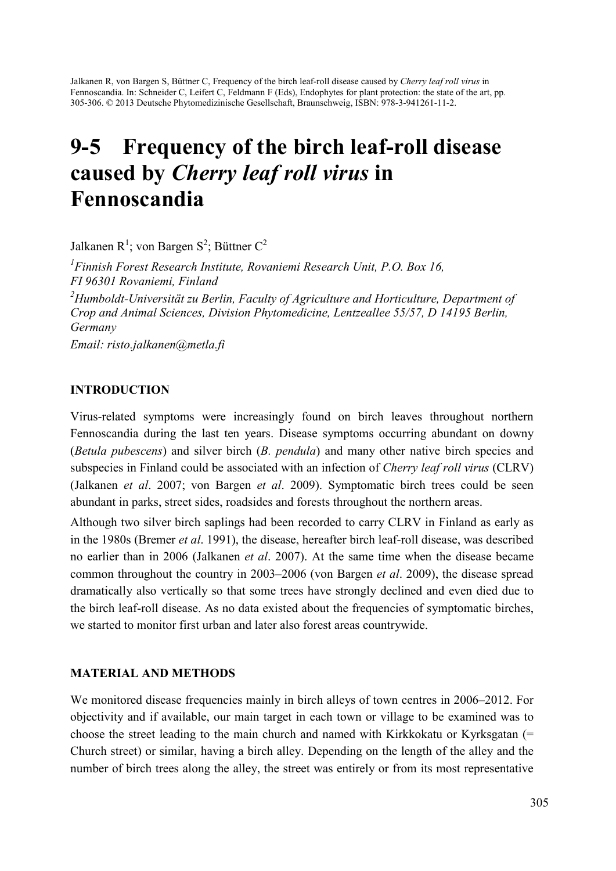Jalkanen R, von Bargen S, Büttner C, Frequency of the birch leaf-roll disease caused by *Cherry leaf roll virus* in Fennoscandia. In: Schneider C, Leifert C, Feldmann F (Eds), Endophytes for plant protection: the state of the art, pp. 305-306. © 2013 Deutsche Phytomedizinische Gesellschaft, Braunschweig, ISBN: 978-3-941261-11-2.

# 9-5 Frequency of the birch leaf-roll disease caused by *Cherry leaf roll virus* in Fennoscandia

Jalkanen R<sup>1</sup>; von Bargen S<sup>2</sup>; Büttner C<sup>2</sup>

*1 Finnish Forest Research Institute, Rovaniemi Research Unit, P.O. Box 16, FI 96301 Rovaniemi, Finland 2 Humboldt-Universität zu Berlin, Faculty of Agriculture and Horticulture, Department of Crop and Animal Sciences, Division Phytomedicine, Lentzeallee 55/57, D 14195 Berlin, Germany Email: risto.jalkanen@metla.fi* 

## INTRODUCTION

Virus-related symptoms were increasingly found on birch leaves throughout northern Fennoscandia during the last ten years. Disease symptoms occurring abundant on downy (*Betula pubescens*) and silver birch (*B. pendula*) and many other native birch species and subspecies in Finland could be associated with an infection of *Cherry leaf roll virus* (CLRV) (Jalkanen *et al*. 2007; von Bargen *et al*. 2009). Symptomatic birch trees could be seen abundant in parks, street sides, roadsides and forests throughout the northern areas.

Although two silver birch saplings had been recorded to carry CLRV in Finland as early as in the 1980s (Bremer *et al*. 1991), the disease, hereafter birch leaf-roll disease, was described no earlier than in 2006 (Jalkanen *et al*. 2007). At the same time when the disease became common throughout the country in 2003–2006 (von Bargen *et al*. 2009), the disease spread dramatically also vertically so that some trees have strongly declined and even died due to the birch leaf-roll disease. As no data existed about the frequencies of symptomatic birches, we started to monitor first urban and later also forest areas countrywide.

#### MATERIAL AND METHODS

We monitored disease frequencies mainly in birch alleys of town centres in 2006–2012. For objectivity and if available, our main target in each town or village to be examined was to choose the street leading to the main church and named with Kirkkokatu or Kyrksgatan  $(=$ Church street) or similar, having a birch alley. Depending on the length of the alley and the number of birch trees along the alley, the street was entirely or from its most representative